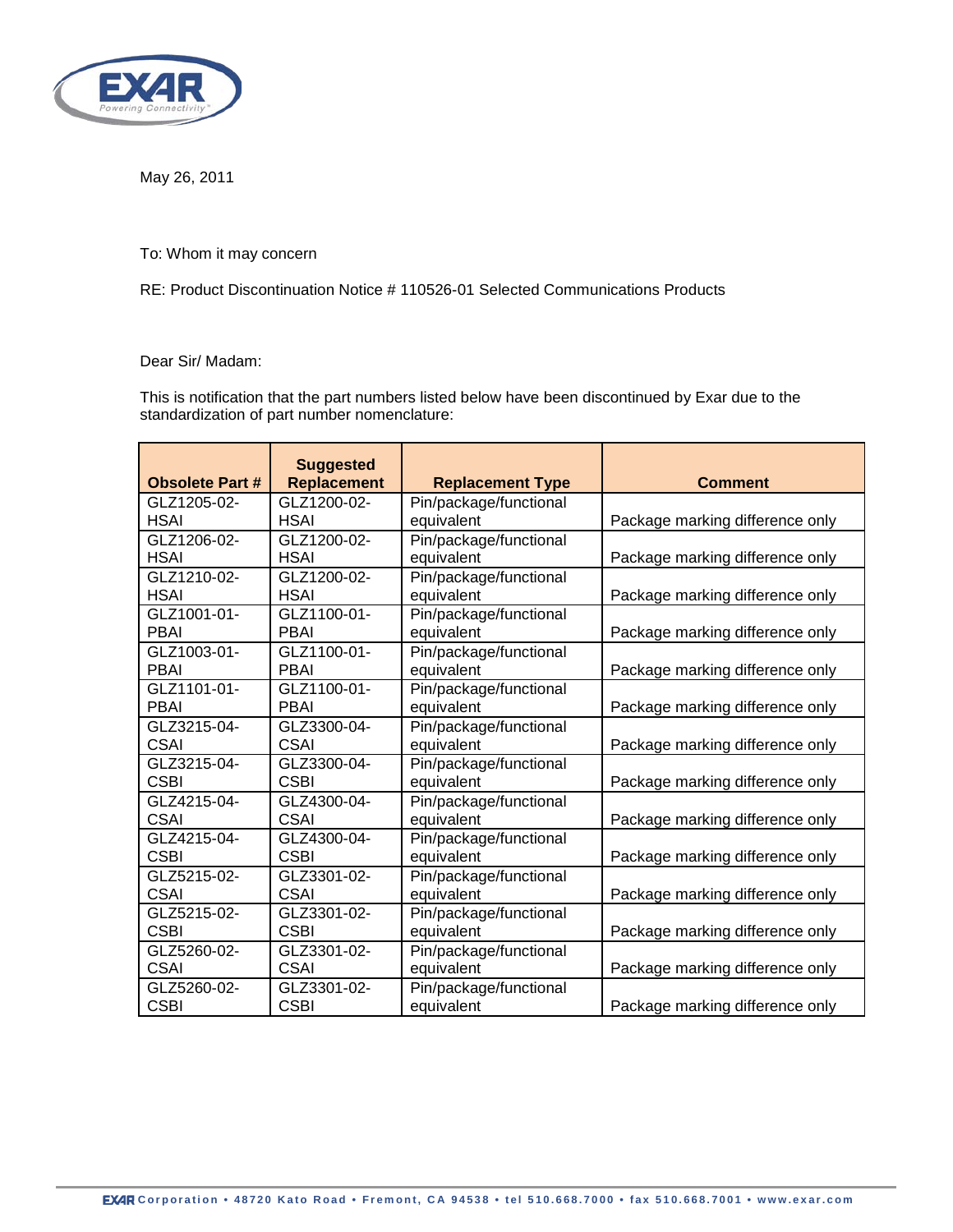

May 26, 2011

To: Whom it may concern

RE: Product Discontinuation Notice # 110526-01 Selected Communications Products

## Dear Sir/ Madam:

This is notification that the part numbers listed below have been discontinued by Exar due to the standardization of part number nomenclature:

| <b>Obsolete Part #</b> | <b>Suggested</b><br><b>Replacement</b> | <b>Replacement Type</b> | <b>Comment</b>                  |
|------------------------|----------------------------------------|-------------------------|---------------------------------|
| GLZ1205-02-            | GLZ1200-02-                            | Pin/package/functional  |                                 |
| <b>HSAI</b>            | <b>HSAI</b>                            | equivalent              | Package marking difference only |
| GLZ1206-02-            | GLZ1200-02-                            | Pin/package/functional  |                                 |
| <b>HSAI</b>            | <b>HSAI</b>                            | equivalent              | Package marking difference only |
| GLZ1210-02-            | GLZ1200-02-                            | Pin/package/functional  |                                 |
| <b>HSAI</b>            | <b>HSAI</b>                            | equivalent              | Package marking difference only |
| GLZ1001-01-            | GLZ1100-01-                            | Pin/package/functional  |                                 |
| <b>PBAI</b>            | <b>PBAI</b>                            | equivalent              | Package marking difference only |
| GLZ1003-01-            | GLZ1100-01-                            | Pin/package/functional  |                                 |
| <b>PBAI</b>            | <b>PBAI</b>                            | equivalent              | Package marking difference only |
| GLZ1101-01-            | GLZ1100-01-                            | Pin/package/functional  |                                 |
| <b>PBAI</b>            | <b>PBAI</b>                            | equivalent              | Package marking difference only |
| GLZ3215-04-            | GLZ3300-04-                            | Pin/package/functional  |                                 |
| <b>CSAI</b>            | <b>CSAI</b>                            | equivalent              | Package marking difference only |
| GLZ3215-04-            | GLZ3300-04-                            | Pin/package/functional  |                                 |
| <b>CSBI</b>            | <b>CSBI</b>                            | equivalent              | Package marking difference only |
| GLZ4215-04-            | GLZ4300-04-                            | Pin/package/functional  |                                 |
| <b>CSAI</b>            | <b>CSAI</b>                            | equivalent              | Package marking difference only |
| GLZ4215-04-            | GLZ4300-04-                            | Pin/package/functional  |                                 |
| <b>CSBI</b>            | <b>CSBI</b>                            | equivalent              | Package marking difference only |
| GLZ5215-02-            | GLZ3301-02-                            | Pin/package/functional  |                                 |
| <b>CSAI</b>            | <b>CSAI</b>                            | equivalent              | Package marking difference only |
| GLZ5215-02-            | GLZ3301-02-                            | Pin/package/functional  |                                 |
| <b>CSBI</b>            | <b>CSBI</b>                            | equivalent              | Package marking difference only |
| GLZ5260-02-            | GLZ3301-02-                            | Pin/package/functional  |                                 |
| <b>CSAI</b>            | <b>CSAI</b>                            | equivalent              | Package marking difference only |
| GLZ5260-02-            | GLZ3301-02-                            | Pin/package/functional  |                                 |
| <b>CSBI</b>            | <b>CSBI</b>                            | equivalent              | Package marking difference only |